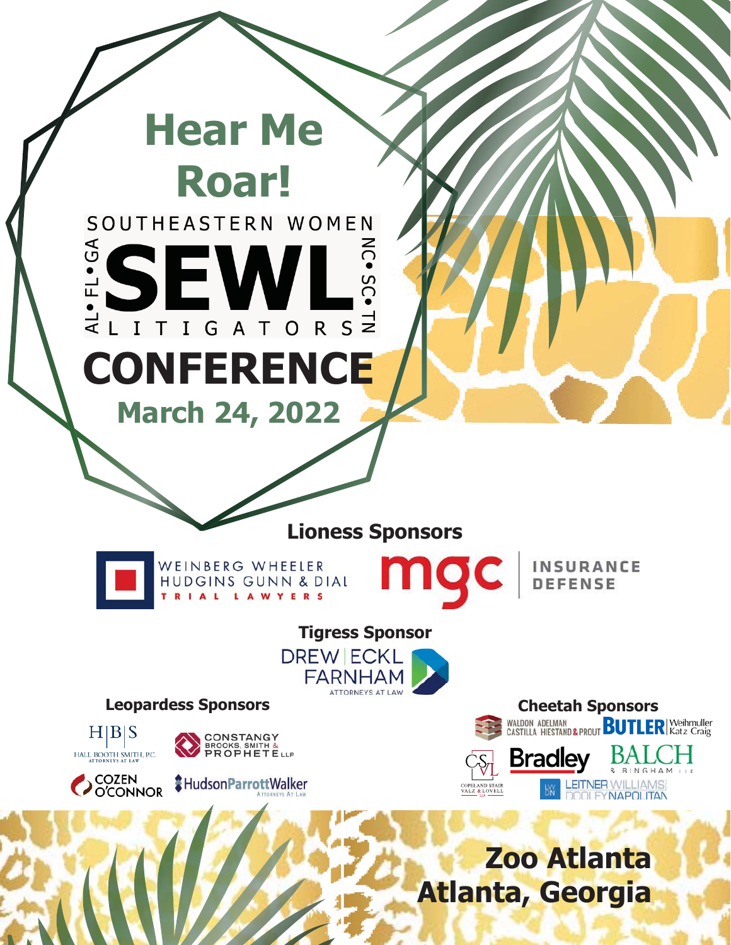



**Lioness Sponsors**



WEINBERG WHEELER<br>HUDGINS GUNN & DIAL TRIAL LAWYERS



**INSURANCE DEFENSE** 

#### **Tigress Sponsor**



 $H|B|S$ HALL BOOTH SMITH, P.C.





**SHudsonParrottWalker** 

#### **Leopardess Sponsors**<br>
IBIS **Bradley** BALO & BINGHAM LIP **LEITNER WILLIAMS NAPOLITAN**

# **Zoo Atlanta Atlanta, Georgia**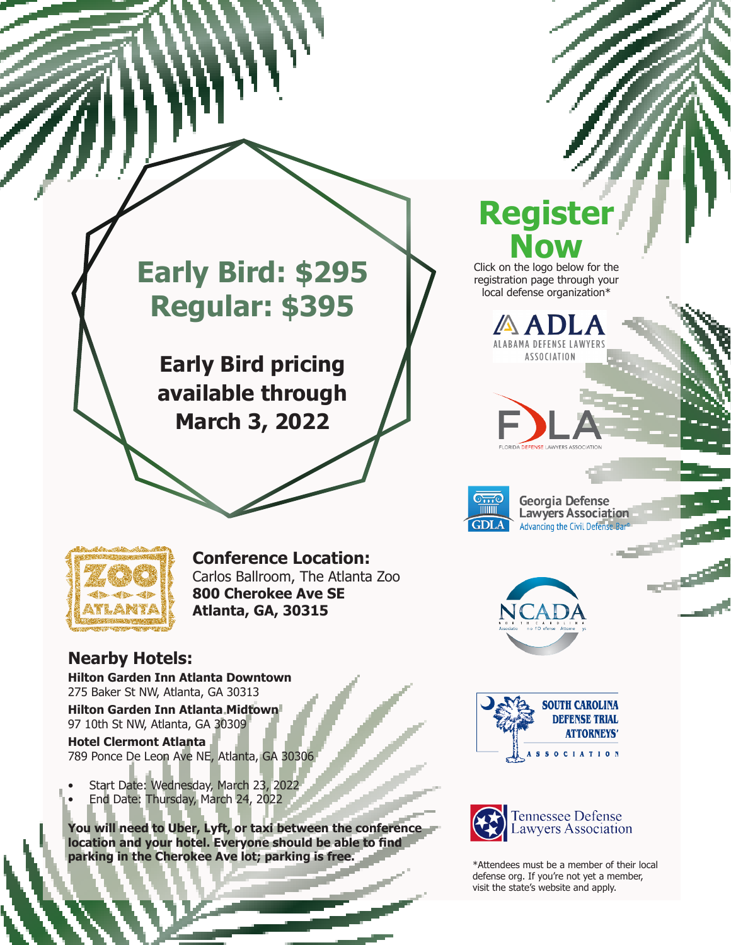## **Early Bird: \$295 Regular: \$395**

**Early Bird pricing available through March 3, 2022**

# ant

#### **Conference Location:**

Carlos Ballroom, The Atlanta Zoo **800 Cherokee Ave SE Atlanta, GA, 30315**

#### **Nearby Hotels:**

**Hilton Garden Inn Atlanta Downtown** 275 Baker St NW, Atlanta, GA 30313

**Hilton Garden Inn Atlanta Midtown** 97 10th St NW, Atlanta, GA 30309

**Hotel Clermont Atlanta** 789 Ponce De Leon Ave NE, Atlanta, GA 30306

- Start Date: Wednesday, March 23, 2022
- End Date: Thursday, March 24, 2022

**You will need to Uber, Lyft, or taxi between the conference location and your hotel. Everyone should be able to find parking in the Cherokee Ave lot; parking is free.**

### **Registe Now**

Click on the logo below for the registration page through your lo[cal defense organization\\*](https://adla.org/event/southeastern-women-litigators-conference/)













\*Attendees must be a member of their local defense org. If you're not yet a member, visit the state's website and apply.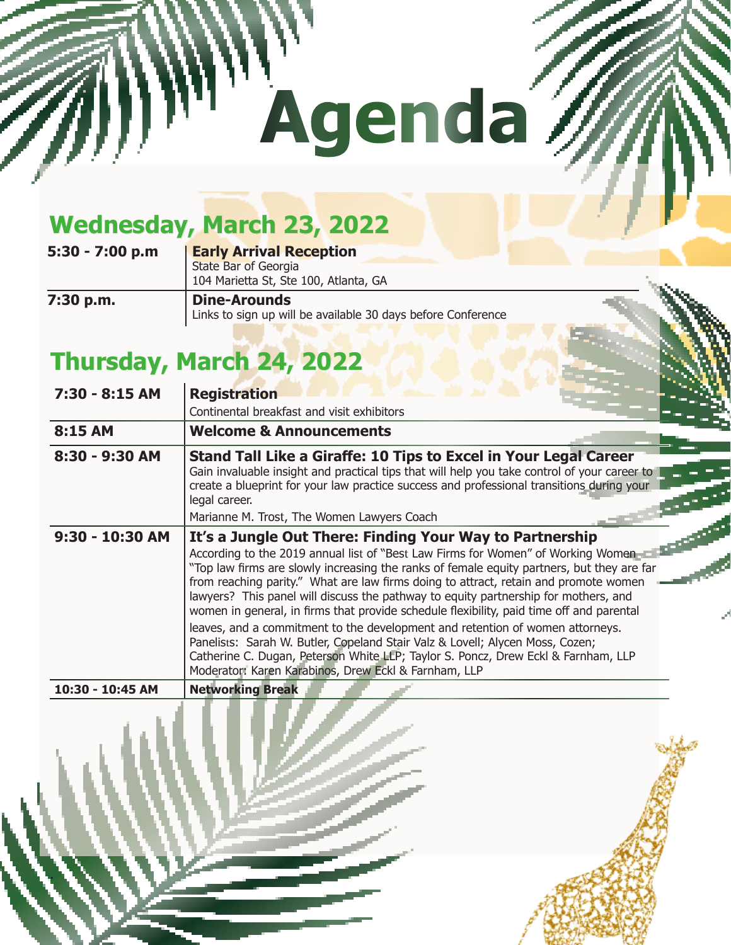# **Agenda**

### **Wednesday, March 23, 2022**

| $5:30 - 7:00 p.m$ | <b>Early Arrival Reception</b>                               |  |
|-------------------|--------------------------------------------------------------|--|
|                   | State Bar of Georgia                                         |  |
|                   | 104 Marietta St, Ste 100, Atlanta, GA                        |  |
| 7:30 p.m.         | <b>Dine-Arounds</b>                                          |  |
|                   | Links to sign up will be available 30 days before Conference |  |

### **Thursday, March 24, 2022**

.

| 7:30 - 8:15 AM   | <b>Registration</b>                                                                                                                                                                                                                                                                                                                                                                                                                                                                                                                                                                                                                                                                                                                                                                                                                  |
|------------------|--------------------------------------------------------------------------------------------------------------------------------------------------------------------------------------------------------------------------------------------------------------------------------------------------------------------------------------------------------------------------------------------------------------------------------------------------------------------------------------------------------------------------------------------------------------------------------------------------------------------------------------------------------------------------------------------------------------------------------------------------------------------------------------------------------------------------------------|
|                  | Continental breakfast and visit exhibitors                                                                                                                                                                                                                                                                                                                                                                                                                                                                                                                                                                                                                                                                                                                                                                                           |
| 8:15 AM          | <b>Welcome &amp; Announcements</b>                                                                                                                                                                                                                                                                                                                                                                                                                                                                                                                                                                                                                                                                                                                                                                                                   |
| 8:30 - 9:30 AM   | Stand Tall Like a Giraffe: 10 Tips to Excel in Your Legal Career<br>Gain invaluable insight and practical tips that will help you take control of your career to<br>create a blueprint for your law practice success and professional transitions during your<br>legal career.                                                                                                                                                                                                                                                                                                                                                                                                                                                                                                                                                       |
|                  | Marianne M. Trost, The Women Lawyers Coach                                                                                                                                                                                                                                                                                                                                                                                                                                                                                                                                                                                                                                                                                                                                                                                           |
| 9:30 - 10:30 AM  | It's a Jungle Out There: Finding Your Way to Partnership<br>According to the 2019 annual list of "Best Law Firms for Women" of Working Women<br>"Top law firms are slowly increasing the ranks of female equity partners, but they are far<br>from reaching parity." What are law firms doing to attract, retain and promote women<br>lawyers? This panel will discuss the pathway to equity partnership for mothers, and<br>women in general, in firms that provide schedule flexibility, paid time off and parental<br>leaves, and a commitment to the development and retention of women attorneys.<br>Panelists: Sarah W. Butler, Copeland Stair Valz & Lovell; Alycen Moss, Cozen;<br>Catherine C. Dugan, Peterson White LLP; Taylor S. Poncz, Drew Eckl & Farnham, LLP<br>Moderator: Karen Karabinos, Drew Eckl & Farnham, LLP |
| 10:30 - 10:45 AM | <b>Networking Break</b>                                                                                                                                                                                                                                                                                                                                                                                                                                                                                                                                                                                                                                                                                                                                                                                                              |